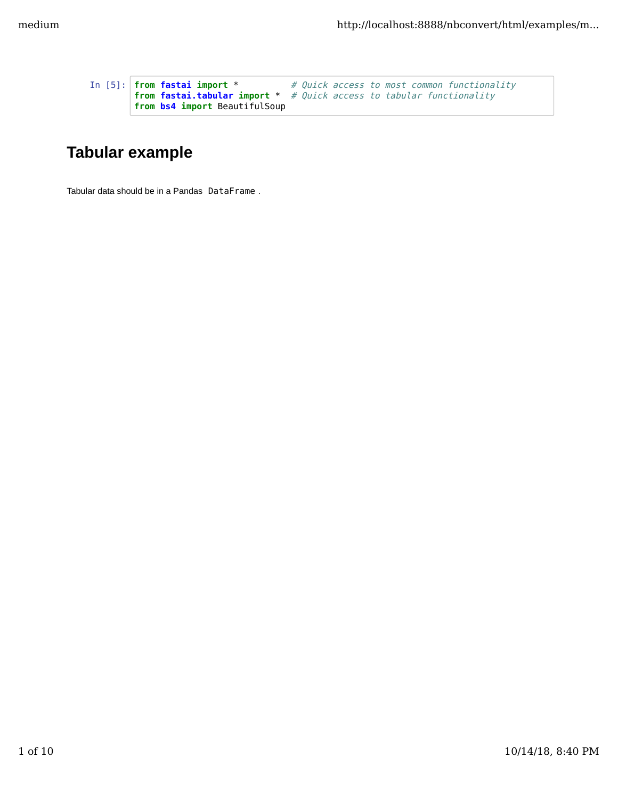```
In [5]: from fastai import * # Quick access to most common functionality
        from fastai.tabular import * # Quick access to tabular functionality
       from bs4 import BeautifulSoup
```
## **Tabular example**

Tabular data should be in a Pandas DataFrame .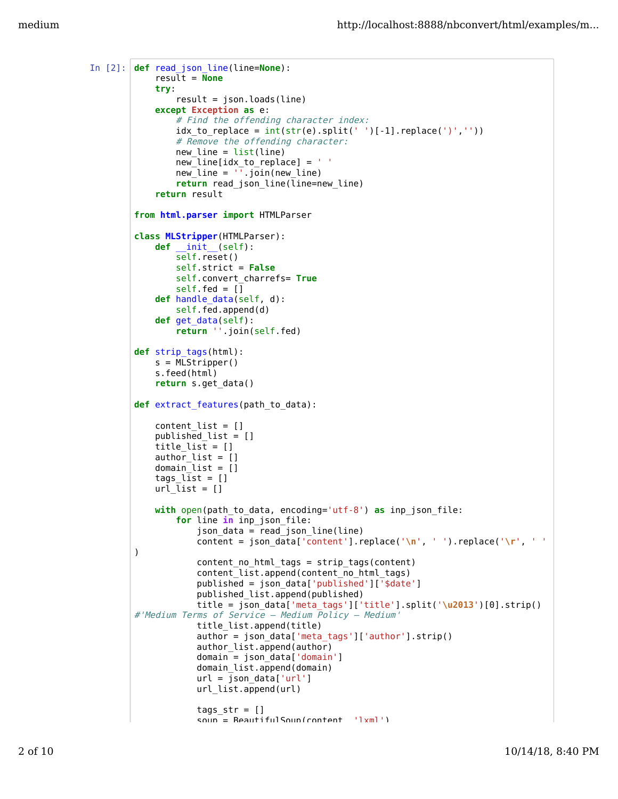```
In [2]: def read_json_line(line=None):
             result = None
             try: 
                 result = json.loads(line)except Exception as e: 
                 # Find the offending character index:
                 idx_to_replace = int(str(e).split(' ') [-1].replace(') ', ''))# Remove the offending character:
                 new line = list(line)new_line[idx_to_replace] = ' '
                 new[line = \sqrt{1}.join(new_line)
                 return read_json_line(line=new_line)
             return result
         from html.parser import HTMLParser
         class MLStripper(HTMLParser):
             def __init__(self):
                 self.reset()
                 self.strict = False
                 self.convert_charrefs= True
                 self.fed = []
             def handle_data(self, d):
                 self.fed.append(d)
             def get_data(self):
                 return ''.join(self.fed)
         def strip_tags(html):
             s = M\bar{L}Stripper()
             s.feed(html)
             return s.get_data()
         def extract_features(path_to_data):
             content_list = []
             published_list = []
             title list = []author list = \begin{bmatrix} 1 \end{bmatrix}domain[list = \begin{bmatrix} 1 \end{bmatrix}tags list = []url list = []
             with open(path_to_data, encoding='utf-8') as inp_json_file:
                 for line in inp_json_file:
                      json_data = read_json_line(line)
                      content = json_data['content'].replace('\n', ' ').replace('\r', ' '
         )
                      content_no_html_tags = strip_tags(content)
                      content_list.append(content_no_html_tags)
                      published = json data['published']['$date']
                      published_list.append(published)
                      title = json_data['meta_tags']['title'].split('\u2013')[0].strip()
         #'Medium Terms of Service – Medium Policy – Medium'
                      title_list.append(title)
                      author = json_data['meta_tags']['author'].strip()
                      author_list.append(author)
                      domain = json_data['domain']
                      domain list.append(domain)
                      url = json data['url']url_list.append(url)
                      tags str = []soup = BeautifulSoup(content 'lxml')
```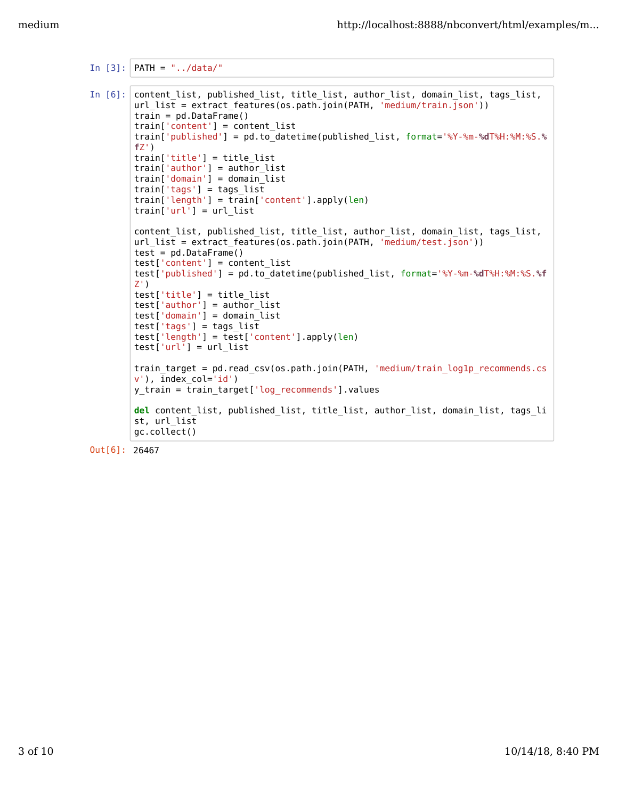```
In [3]: PATH = "../data/"
In [6]: content_list, published_list, title_list, author_list, domain_list, tags_list,
        url_list = extract_features(os.path.join(PATH, 'medium/train.json'))
        train = pd.DataFrame()
        train['content'] = content_list
        train['published'] = pd.to_datetime(published_list, format='%Y-%m-%dT%H:%M:%S.%
        fZ')
        train['title'] = title_list
        train['author'] = author_list
        train['domain'] = domain_list
        train['tags'] = tags_list
        train['length'] = train['content'].apply(len)
        train['url'] = url_list
        content_list, published_list, title_list, author_list, domain_list, tags_list,
        url_list = extract_features(os.path.join(PATH, 'medium/test.json'))
        test = pd.DataFrame()test['content'] = contenttest['published'] = pd.to_datetime(published_list, format='%Y-%m-%dT%H:%M:%S.%f
        Z')
        test['title'] = title_list
        test['author'] = author_list
        test['domain'] = domain_list
        test['tags'] = tags_list
        test['length'] = test['content'].apply(len)
        test['url'] = url_listtrain_target = pd.read_csv(os.path.join(PATH, 'medium/train_log1p_recommends.cs
        v'), index_col='id')
        y_train = train_target['log_recommends'].values
        del content_list, published_list, title_list, author_list, domain_list, tags_li
        st, url_list
        gc.collect()
```

```
Out[6]: 26467
```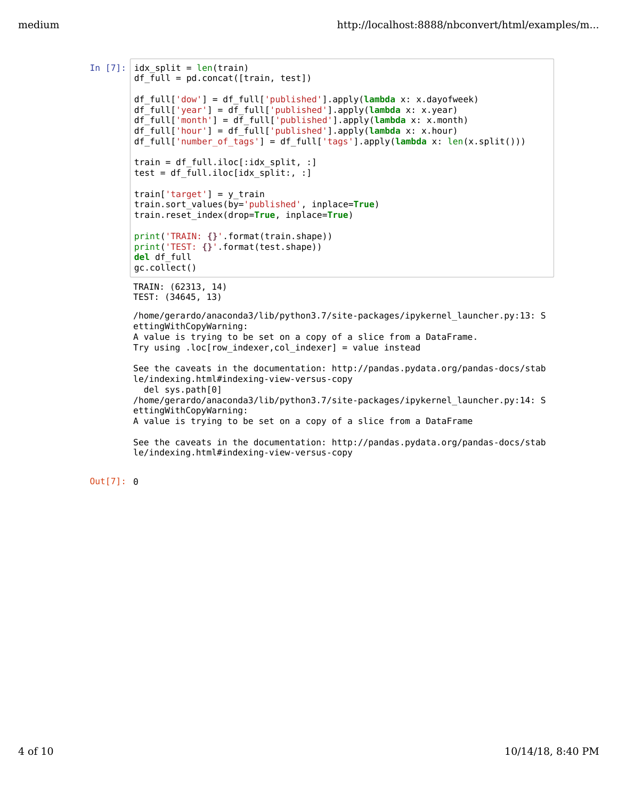```
In [7]: |idx\_split = len(train)df_full = pd.concat([train, test])
        df_full['dow'] = df_full['published'].apply(lambda x: x.dayofweek)
        df_full['year'] = df_full['published'].apply(lambda x: x.year)
        df_full['month'] = df_full['published'].apply(lambda x: x.month)
        df_full['hour'] = df_full['published'].apply(lambda x: x.hour)
        df_full['number_of_tags'] = df_full['tags'].apply(lambda x: len(x.split()))
        train = df full.iloc[:idx split, :]
        test = df_full.iloc[idx_split:, :]
        train['target'] = y_train
        train.sort_values(by='published', inplace=True)
        train.reset_index(drop=True, inplace=True)
        print('TRAIN: {}'.format(train.shape))
        print('TEST: {}'.format(test.shape))
        del df_full
        gc.collect()
        TRAIN: (62313, 14)
        TEST: (34645, 13)
        /home/gerardo/anaconda3/lib/python3.7/site-packages/ipykernel_launcher.py:13: S
        ettingWithCopyWarning: 
        A value is trying to be set on a copy of a slice from a DataFrame.
        Try using .loc[row indexer, col indexer] = value instead
        See the caveats in the documentation: http://pandas.pydata.org/pandas-docs/stab
        le/indexing.html#indexing-view-versus-copy
           del sys.path[0]
        /home/gerardo/anaconda3/lib/python3.7/site-packages/ipykernel_launcher.py:14: S
        ettingWithCopyWarning: 
        A value is trying to be set on a copy of a slice from a DataFrame
```

```
See the caveats in the documentation: http://pandas.pydata.org/pandas-docs/stab
le/indexing.html#indexing-view-versus-copy
```
Out[7]: 0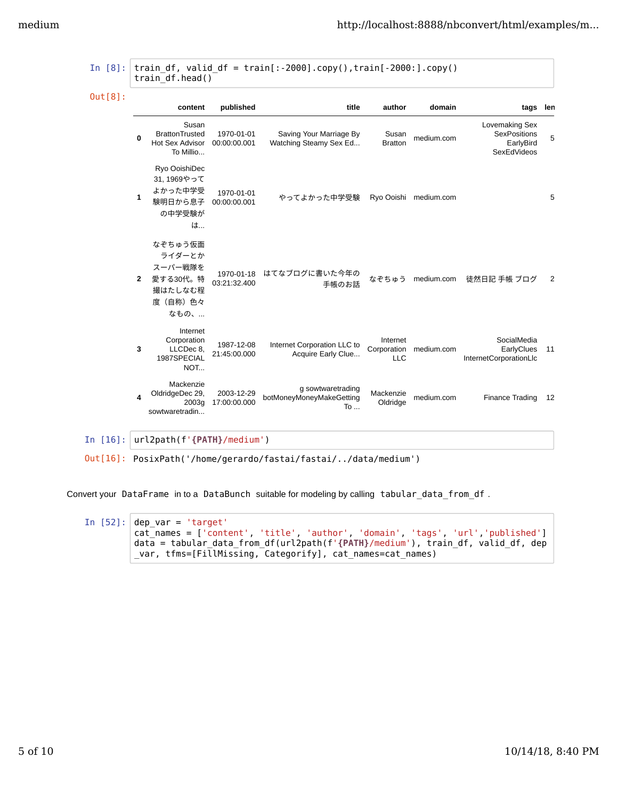|                | content                                                                   | published                  | title                                                       | author                                | domain                | tags len                                                          |    |
|----------------|---------------------------------------------------------------------------|----------------------------|-------------------------------------------------------------|---------------------------------------|-----------------------|-------------------------------------------------------------------|----|
| $\Omega$       | Susan<br><b>BrattonTrusted</b><br>Hot Sex Advisor<br>To Millio            | 1970-01-01<br>00:00:00.001 | Saving Your Marriage By<br>Watching Steamy Sex Ed           | Susan<br><b>Bratton</b>               | medium.com            | Lovemaking Sex<br><b>SexPositions</b><br>EarlyBird<br>SexEdVideos | 5  |
| 1              | Ryo OoishiDec<br>31, 1969やって<br>よかった中学受<br>験明日から息子<br>の中学受験が<br>は         | 1970-01-01<br>00:00:00.001 | やってよかった中学受験                                                 |                                       | Ryo Ooishi medium.com |                                                                   | 5  |
| $\overline{2}$ | なぞちゅう仮面<br>ライダーとか<br>スーパー戦隊を<br>愛する30代。特<br>撮はたしなむ程<br>度 (自称) 色々<br>なもの、… | 03:21:32.400               | 1970-01-18 はてなブログに書いた今年の<br>手帳のお話                           | なぞちゅう                                 | medium.com            | 徒然日記 手帳 ブログ                                                       | 2  |
| 3              | Internet<br>Corporation<br>LLCDec 8.<br>1987SPECIAL<br>NOT                | 1987-12-08<br>21:45:00.000 | Internet Corporation LLC to<br>Acquire Early Clue           | Internet<br>Corporation<br><b>LLC</b> | medium.com            | SocialMedia<br>EarlyClues<br>InternetCorporationLlc               | 11 |
| 4              | Mackenzie<br>OldridgeDec 29,<br>2003q<br>sowtwaretradin                   | 2003-12-29<br>17:00:00.000 | g sowtwaretrading<br>botMoneyMoneyMakeGetting<br>$To \dots$ | Mackenzie<br>Oldridge                 | medium.com            | Finance Trading                                                   | 12 |

In [16]: url2path(f'**{PATH}**/medium')

Out[16]: PosixPath('/home/gerardo/fastai/fastai/../data/medium')

Convert your DataFrame in to a DataBunch suitable for modeling by calling tabular\_data\_from\_df .

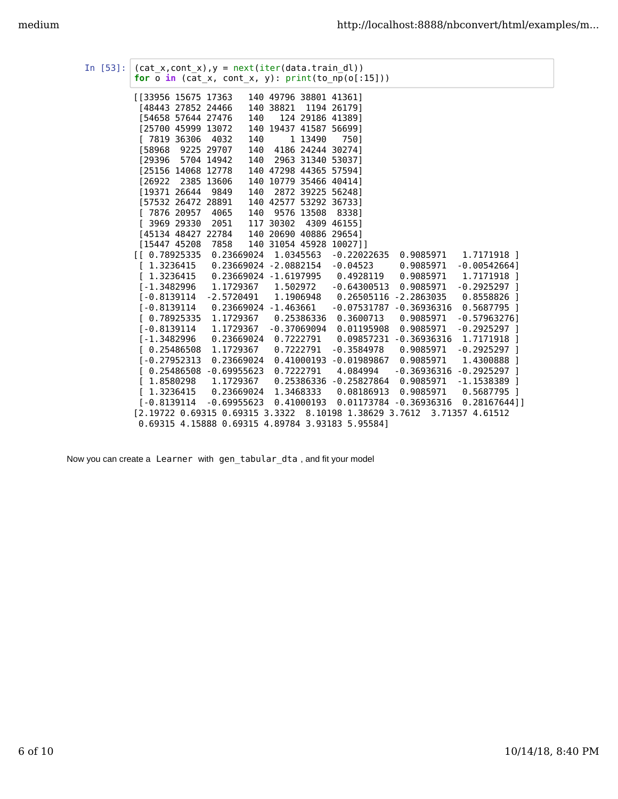| In [53]: | $(cat_x, cont_x), y = next(iter(data, train_d1))$<br>for $o$ in (cat_x, cont_x, y): $print(to_np(o[:15]))$ |                            |     |                         |             |                                                                        |                        |                 |  |  |
|----------|------------------------------------------------------------------------------------------------------------|----------------------------|-----|-------------------------|-------------|------------------------------------------------------------------------|------------------------|-----------------|--|--|
|          | [[33956 15675 17363                                                                                        |                            |     |                         |             | 140 49796 38801 41361]                                                 |                        |                 |  |  |
|          | [48443 27852 24466                                                                                         |                            |     | 140 38821               |             | 1194 261791                                                            |                        |                 |  |  |
|          | [54658 57644 27476                                                                                         |                            | 140 |                         |             | 124 29186 41389]                                                       |                        |                 |  |  |
|          | [25700 45999 13072                                                                                         |                            |     |                         |             | 140 19437 41587 56699]                                                 |                        |                 |  |  |
|          | $[7819\ 36306]$                                                                                            | 4032                       | 140 |                         | 1 13490     | 7501                                                                   |                        |                 |  |  |
|          | [58968                                                                                                     | 9225 29707                 | 140 |                         |             | 4186 24244 30274]                                                      |                        |                 |  |  |
|          | [29396]                                                                                                    | 5704 14942                 | 140 |                         |             | 2963 31340 530371                                                      |                        |                 |  |  |
|          | [25156 14068 12778                                                                                         |                            |     |                         |             | 140 47298 44365 57594]                                                 |                        |                 |  |  |
|          | [26922]                                                                                                    | 2385 13606                 |     |                         |             | 140 10779 35466 40414]                                                 |                        |                 |  |  |
|          | [19371 26644 9849                                                                                          |                            | 140 |                         |             | 2872 39225 56248]                                                      |                        |                 |  |  |
|          | [57532 26472 28891                                                                                         |                            |     |                         |             | 140 42577 53292 367331                                                 |                        |                 |  |  |
|          | [7876 20957]                                                                                               | 4065                       | 140 |                         | 9576 13508  | 83381                                                                  |                        |                 |  |  |
|          | [ 3969 29330                                                                                               | 2051                       |     | 117 30302               |             | 4309 46155]                                                            |                        |                 |  |  |
|          | [45134 48427 22784                                                                                         |                            |     |                         |             | 140 20690 40886 29654]                                                 |                        |                 |  |  |
|          | [15447 45208                                                                                               | 7858                       |     |                         |             | 140 31054 45928 10027]]                                                |                        |                 |  |  |
|          | [1 0.78925335]                                                                                             | 0.23669024                 |     |                         | 1.0345563   | $-0.22022635$                                                          | 0.9085971              | 1.7171918 1     |  |  |
|          | [1.3236415]                                                                                                |                            |     | 0.23669024 -2.0882154   |             | $-0.04523$                                                             | 0.9085971              | $-0.00542664]$  |  |  |
|          | 1.3236415                                                                                                  |                            |     |                         |             | $0.23669024 - 1.6197995$ 0.4928119                                     | 0.9085971              | 1.7171918 1     |  |  |
|          | $[-1.3482996]$                                                                                             |                            |     | 1.1729367 1.502972      |             | $-0.64300513$                                                          | 0.9085971              | $-0.2925297$ ]  |  |  |
|          | $[-0.8139114]$                                                                                             | $-2.5720491$               |     |                         | 1.1906948   | 0.26505116 -2.2863035                                                  |                        | $0.8558826$ ]   |  |  |
|          | $1 - 0.8139114$                                                                                            |                            |     | $0.23669024 - 1.463661$ |             | -0.07531787                                                            | $-0.36936316$          | $0.5687795$ 1   |  |  |
|          | [0.78925335]                                                                                               | 1.1729367                  |     |                         | 0.25386336  | 0.3600713                                                              | 0.9085971              | $-0.57963276$ ] |  |  |
|          | $[-0.8139114]$                                                                                             | 1.1729367                  |     |                         | -0.37069094 | 0.01195908                                                             | 0.9085971              | $-0.2925297$ ]  |  |  |
|          | $[-1.3482996]$                                                                                             | 0.23669024                 |     |                         | 0.7222791   | 0.09857231                                                             | $-0.36936316$          | 1.7171918 1     |  |  |
|          | [0.25486508]                                                                                               | 1,1729367                  |     |                         | 0.7222791   | $-0.3584978$                                                           | 0.9085971              | $-0.2925297$ ]  |  |  |
|          | $[-0.27952313]$                                                                                            | 0.23669024                 |     |                         |             | $0.41000193 - 0.01989867$                                              | 0.9085971              | 1.4300888 ]     |  |  |
|          | $[0.25486508 - 0.69955623]$                                                                                |                            |     |                         | 0.7222791   | 4.084994                                                               | $-0.36936316$          | $-0.2925297$ ]  |  |  |
|          | 1.8580298                                                                                                  | 1.1729367                  |     |                         |             | 0.25386336 -0.25827864                                                 | 0.9085971              | $-1.1538389$ 1  |  |  |
|          | [1.3236415]                                                                                                | 0.23669024                 |     |                         | 1.3468333   | 0.08186913                                                             | 0.9085971              | $0.5687795$ ]   |  |  |
|          | $1 - 0.8139114$                                                                                            | $-0.69955623$ $0.41000193$ |     |                         |             |                                                                        | 0.01173784 -0.36936316 | $0.28167644$ ]  |  |  |
|          |                                                                                                            |                            |     |                         |             | [2.19722 0.69315 0.69315 3.3322 8.10198 1.38629 3.7612 3.71357 4.61512 |                        |                 |  |  |
|          |                                                                                                            |                            |     |                         |             | 0.69315 4.15888 0.69315 4.89784 3.93183 5.955841                       |                        |                 |  |  |

Now you can create a Learner with gen\_tabular\_dta , and fit your model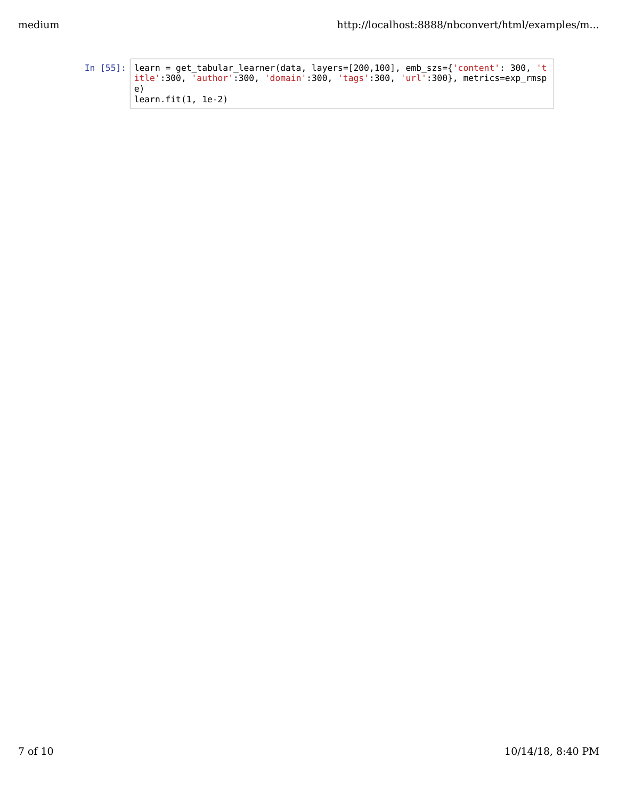```
In [55]: learn = get_tabular_learner(data, layers=[200,100], emb_szs={'content': 300, 't
         itle':300, 'author':300, 'domain':300, 'tags':300, 'url':300}, metrics=exp_rmsp
         e)
         learn.fit(1, 1e-2)
```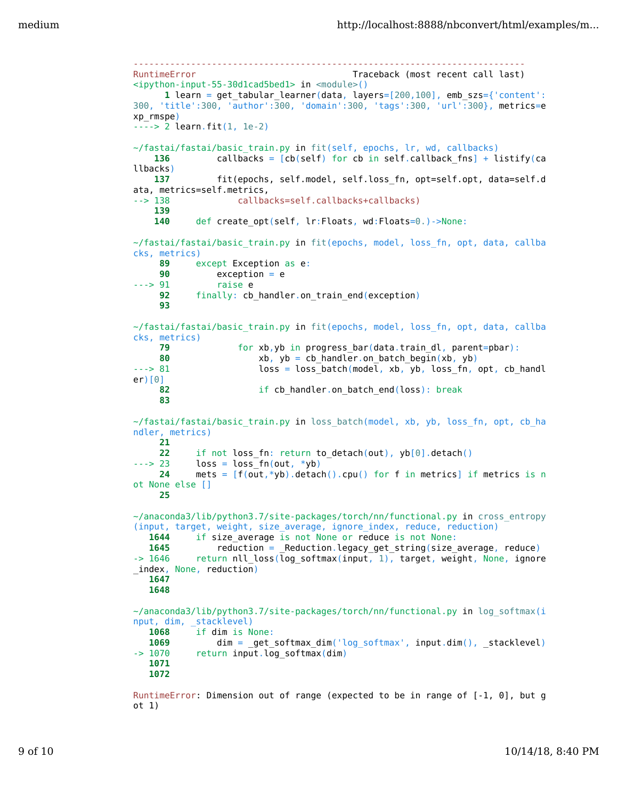```
---------------------------------------------------------------------------
RuntimeError Traceback (most recent call last)
<ipython-input-55-30d1cad5bed1> in <module>()
      1 learn = get_tabular_learner(data, layers=[200,100], emb_szs={'content':
300, 'title':300, 'author':300, 'domain':300, 'tags':300, 'url':300}, metrics=e
xp_rmspe)
----> 2 learn.fit(1, 1e-2)
~/fastai/fastai/basic_train.py in fit(self, epochs, lr, wd, callbacks)
   136 callbacks = [cb(self) for cb in self.callback fns] + listify(ca
llbacks)
    137 fit(epochs, self.model, self.loss_fn, opt=self.opt, data=self.d
ata, metrics=self.metrics,
--> 138 callbacks=self.callbacks+callbacks)
    139
    140 def create_opt(self, lr:Floats, wd:Floats=0.)->None:
~/fastai/fastai/basic_train.py in fit(epochs, model, loss_fn, opt, data, callba
cks, metrics)
     89 except Exception as e:
     90 exception = e
---> 91 raise e
    92 finally: cb handler.on train end(exception)
     93
~/fastai/fastai/basic_train.py in fit(epochs, model, loss_fn, opt, data, callba
cks, metrics)
     79 for xb,yb in progress_bar(data.train_dl, parent=pbar):
     80 xb, yb = cb_handler.on_batch_begin(xb, yb)
---> 81 loss = loss_batch(model, xb, yb, loss_fn, opt, cb_handl
er)[0]
     82 if cb_handler.on_batch_end(loss): break
     83
\gammafastai/fastai/basic train.py in loss batch(model, xb, yb, loss fn, opt, cb ha
ndler, metrics)
     21
     22 if not loss_fn: return to_detach(out), yb[0].detach()
---> 23 loss = loss_fn(out, *yb)
     24 mets = [f(out,*yb).detach().cpu() for f in metrics] if metrics is n
ot None else []
     25
~/anaconda3/lib/python3.7/site-packages/torch/nn/functional.py in cross_entropy
(input, target, weight, size_average, ignore_index, reduce, reduction)
  1644 if size average is not None or reduce is not None:
  1645 reduction = _Reduction.legacy_get_string(size_average, reduce)
\sim 1646 return nll_loss(log_softmax(input, 1), target, weight, None, ignore
index, None, reduction)
   1647
   1648
~/anaconda3/lib/python3.7/site-packages/torch/nn/functional.py in log_softmax(i
nput, dim, _stacklevel)
   1068 if dim is None:
  1069 dim = _get_softmax_dim('log_softmax', input.dim(), _stacklevel)
-> 1070 return input.log softmax(dim)
   1071
   1072
RuntimeError: Dimension out of range (expected to be in range of [-1, 0], but g
```
ot 1)